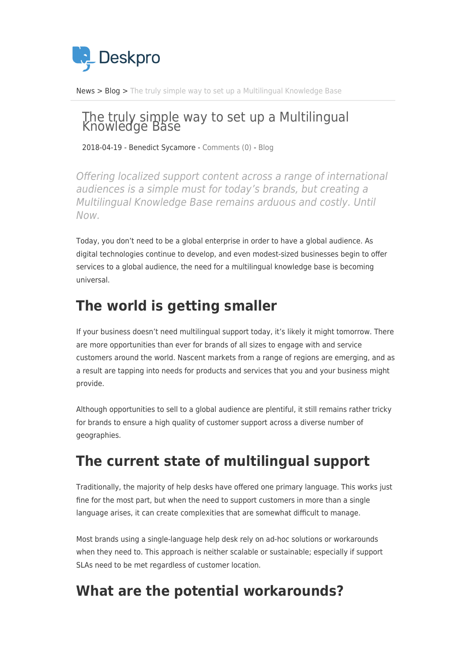

[News](https://support.deskpro.com/sv/news) > [Blog](https://support.deskpro.com/sv/news/blog) > [The truly simple way to set up a Multilingual Knowledge Base](https://support.deskpro.com/sv/news/posts/the-truly-simple-way-to-set-up-a-multilingual-knowledge-base)

# The truly simple way to set up a Multilingual Knowledge Base

2018-04-19 - Benedict Sycamore - [Comments \(0\)](#page--1-0) - [Blog](https://support.deskpro.com/sv/news/blog)

Offering localized support content across a range of international audiences is a simple must for today's brands, but creating a Multilingual Knowledge Base remains arduous and costly. Until Now.

Today, you don't need to be a global enterprise in order to have a global audience. As digital technologies continue to develop, and even modest-sized businesses begin to offer services to a global audience, the need for a multilingual knowledge base is becoming universal.

## **The world is getting smaller**

If your business doesn't need multilingual support today, it's likely it might tomorrow. There are more opportunities than ever for brands of all sizes to engage with and service customers around the world. Nascent markets from a range of regions are emerging, and as a result are tapping into needs for products and services that you and your business might provide.

Although opportunities to sell to a global audience are plentiful, it still remains rather tricky for brands to ensure a high quality of customer support across a diverse number of geographies.

## **The current state of multilingual support**

Traditionally, the majority of help desks have offered one primary language. This works just fine for the most part, but when the need to support customers in more than a single language arises, it can create complexities that are somewhat difficult to manage.

Most brands using a single-language help desk rely on ad-hoc solutions or workarounds when they need to. This approach is neither scalable or sustainable; especially if support SLAs need to be met regardless of customer location.

#### **What are the potential workarounds?**